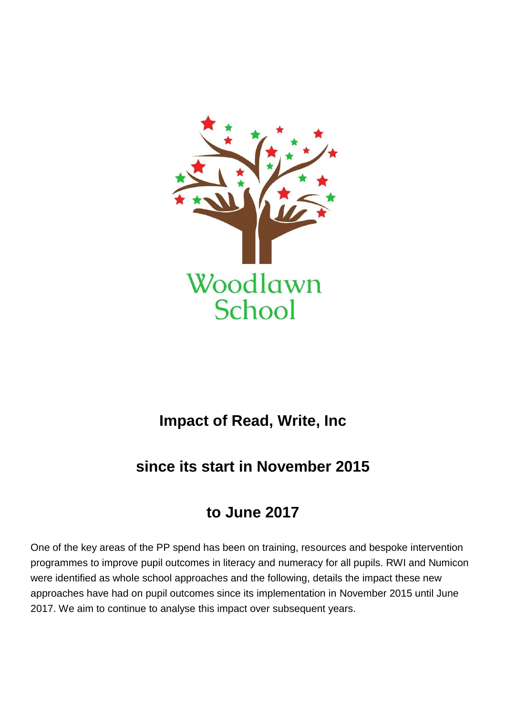

# **Impact of Read, Write, Inc**

# **since its start in November 2015**

# **to June 2017**

One of the key areas of the PP spend has been on training, resources and bespoke intervention programmes to improve pupil outcomes in literacy and numeracy for all pupils. RWI and Numicon were identified as whole school approaches and the following, details the impact these new approaches have had on pupil outcomes since its implementation in November 2015 until June 2017. We aim to continue to analyse this impact over subsequent years.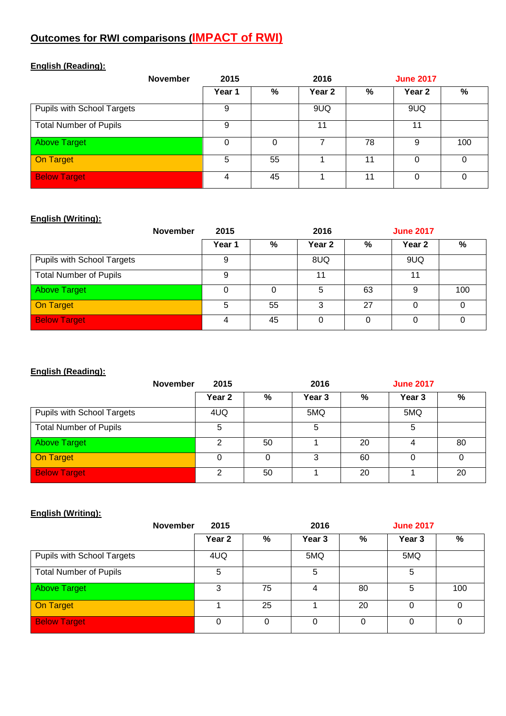# **Outcomes for RWI comparisons (IMPACT of RWI)**

# **English (Reading):**

| <b>November</b>               | 2015     |          | 2016   |    | <b>June 2017</b> |     |
|-------------------------------|----------|----------|--------|----|------------------|-----|
|                               | Year 1   | %        | Year 2 | %  | Year 2           | %   |
| Pupils with School Targets    | 9        |          | 9UQ    |    | 9UQ              |     |
| <b>Total Number of Pupils</b> | 9        |          | 11     |    | 11               |     |
| <b>Above Target</b>           | $\Omega$ | $\Omega$ | 7      | 78 | 9                | 100 |
| <b>On Target</b>              | 5        | 55       |        | 11 | 0                | 0   |
| <b>Below Target</b>           | 4        | 45       |        | 11 | 0                | 0   |

#### **English (Writing):**

| <b>November</b>               | 2015   |    | 2016   |    | <b>June 2017</b> |     |
|-------------------------------|--------|----|--------|----|------------------|-----|
|                               | Year 1 | %  | Year 2 | %  | Year 2           | %   |
| Pupils with School Targets    | 9      |    | 8UQ    |    | 9UQ              |     |
| <b>Total Number of Pupils</b> | 9      |    | 11     |    | 11               |     |
| <b>Above Target</b>           | 0      | 0  | 5      | 63 | 9                | 100 |
| <b>On Target</b>              | 5      | 55 | 3      | 27 |                  |     |
| <b>Below Target</b>           |        | 45 | 0      |    |                  |     |

#### **English (Reading):**

| <b>November</b>               | 2015              |    | 2016   |    | <b>June 2017</b> |    |
|-------------------------------|-------------------|----|--------|----|------------------|----|
|                               | Year <sub>2</sub> | %  | Year 3 | %  | Year 3           | %  |
| Pupils with School Targets    | 4UQ               |    | 5MQ    |    | 5MQ              |    |
| <b>Total Number of Pupils</b> | 5                 |    | 5      |    | 5                |    |
| Above Target                  | ◠                 | 50 |        | 20 | 4                | 80 |
| On Target                     |                   |    | 3      | 60 |                  |    |
| <b>Below Target</b>           | ົ                 | 50 |        | 20 |                  | 20 |

#### **English (Writing):**

| <b>November</b>               | 2015   |    | 2016              |          | <b>June 2017</b> |          |
|-------------------------------|--------|----|-------------------|----------|------------------|----------|
|                               | Year 2 | %  | Year <sub>3</sub> | %        | Year 3           | %        |
| Pupils with School Targets    | 4UQ    |    | 5MQ               |          | 5MQ              |          |
| <b>Total Number of Pupils</b> | 5      |    | 5                 |          | 5                |          |
| <b>Above Target</b>           | 3      | 75 |                   | 80       | 5                | 100      |
| On Target                     |        | 25 |                   | 20       | 0                | 0        |
| <b>Below Target</b>           | 0      | 0  | $\Omega$          | $\Omega$ | 0                | $\Omega$ |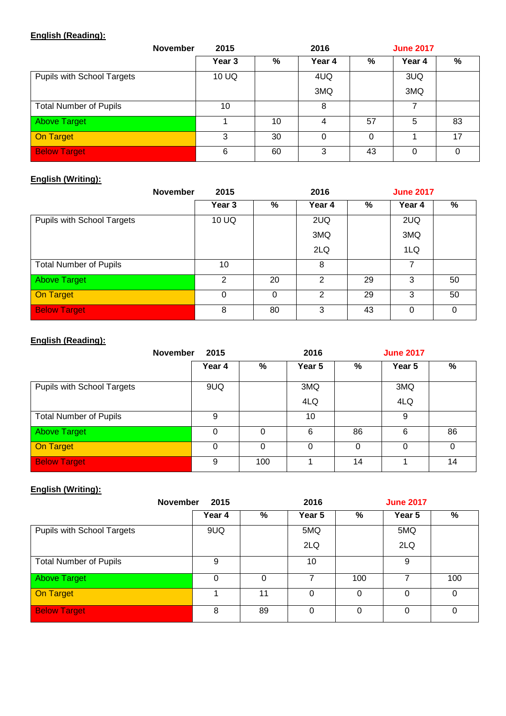# **English (Reading):**

| <b>November</b>               | 2016<br>2015      |    |          | <b>June 2017</b> |          |    |  |
|-------------------------------|-------------------|----|----------|------------------|----------|----|--|
|                               | Year <sub>3</sub> | %  | Year 4   | %                | Year 4   | ℅  |  |
| Pupils with School Targets    | 10 UQ             |    | 4UQ      |                  | 3UQ      |    |  |
|                               |                   |    | 3MQ      |                  | 3MQ      |    |  |
| <b>Total Number of Pupils</b> | 10                |    | 8        |                  | 7        |    |  |
| <b>Above Target</b>           |                   | 10 | 4        | 57               | 5        | 83 |  |
| On Target                     | 3                 | 30 | $\Omega$ | 0                |          | 17 |  |
| <b>Below Target</b>           | 6                 | 60 | 3        | 43               | $\Omega$ |    |  |

### **English (Writing):**

| <b>November</b>               | 2015   | 2016     |               |    | <b>June 2017</b> |    |  |  |
|-------------------------------|--------|----------|---------------|----|------------------|----|--|--|
|                               | Year 3 | %        | Year 4        | %  | Year 4           | ℅  |  |  |
| Pupils with School Targets    | 10 UQ  |          | 2UQ           |    | 2UQ              |    |  |  |
|                               |        |          | 3MQ           |    | 3MQ              |    |  |  |
|                               |        |          | 2LQ           |    | 1LQ              |    |  |  |
| <b>Total Number of Pupils</b> | 10     |          | 8             |    | 7                |    |  |  |
| <b>Above Target</b>           | 2      | 20       | $\mathcal{P}$ | 29 | 3                | 50 |  |  |
| On Target                     | 0      | $\Omega$ | 2             | 29 | 3                | 50 |  |  |
| <b>Below Target</b>           | 8      | 80       | 3             | 43 | $\Omega$         | 0  |  |  |

#### **English (Reading):**

| <b>November</b>               | 2015   |     | 2016   |    | <b>June 2017</b> |               |
|-------------------------------|--------|-----|--------|----|------------------|---------------|
|                               | Year 4 | %   | Year 5 | %  | Year 5           | $\frac{9}{6}$ |
| Pupils with School Targets    | 9UQ    |     | 3MQ    |    | 3MQ              |               |
|                               |        |     | 4LQ    |    | 4LQ              |               |
| <b>Total Number of Pupils</b> | 9      |     | 10     |    | 9                |               |
| <b>Above Target</b>           | 0      | 0   | 6      | 86 | 6                | 86            |
| On Target                     | 0      | 0   | 0      | 0  | $\Omega$         | 0             |
| <b>Below Target</b>           | 9      | 100 |        | 14 |                  | 14            |

# **English (Writing):**

| <b>November</b><br>2015       |          |          | 2016   |     | <b>June 2017</b> |      |  |
|-------------------------------|----------|----------|--------|-----|------------------|------|--|
|                               | Year 4   | %        | Year 5 | %   | Year 5           | $\%$ |  |
| Pupils with School Targets    | 9UQ      |          | 5MQ    |     | 5MQ              |      |  |
|                               |          |          | 2LQ    |     | 2LQ              |      |  |
| <b>Total Number of Pupils</b> | 9        |          | 10     |     | 9                |      |  |
| <b>Above Target</b>           | $\Omega$ | $\Omega$ | 7      | 100 | 7                | 100  |  |
| On Target                     |          | 11       | 0      | 0   | 0                | 0    |  |
| <b>Below Target</b>           | 8        | 89       | 0      | 0   | 0                | 0    |  |